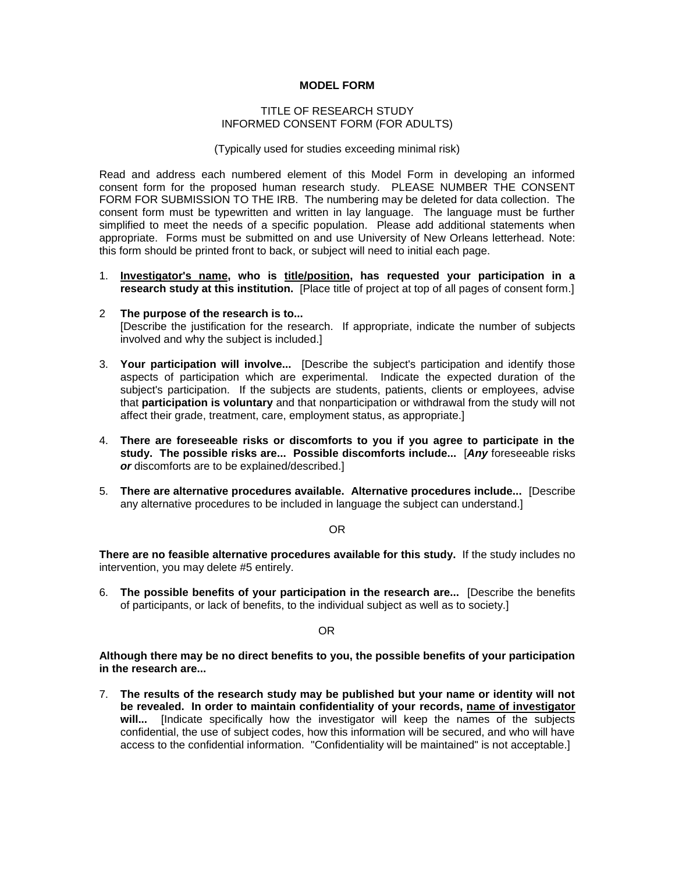## **MODEL FORM**

## TITLE OF RESEARCH STUDY INFORMED CONSENT FORM (FOR ADULTS)

(Typically used for studies exceeding minimal risk)

Read and address each numbered element of this Model Form in developing an informed consent form for the proposed human research study. PLEASE NUMBER THE CONSENT FORM FOR SUBMISSION TO THE IRB. The numbering may be deleted for data collection. The consent form must be typewritten and written in lay language. The language must be further simplified to meet the needs of a specific population. Please add additional statements when appropriate. Forms must be submitted on and use University of New Orleans letterhead. Note: this form should be printed front to back, or subject will need to initial each page.

- 1. **Investigator's name, who is title/position, has requested your participation in a research study at this institution.** [Place title of project at top of all pages of consent form.]
- 2 **The purpose of the research is to...** [Describe the justification for the research. If appropriate, indicate the number of subjects involved and why the subject is included.]
- 3. **Your participation will involve...** [Describe the subject's participation and identify those aspects of participation which are experimental. Indicate the expected duration of the subject's participation. If the subjects are students, patients, clients or employees, advise that **participation is voluntary** and that nonparticipation or withdrawal from the study will not affect their grade, treatment, care, employment status, as appropriate.]
- 4. **There are foreseeable risks or discomforts to you if you agree to participate in the study. The possible risks are... Possible discomforts include...** [*Any* foreseeable risks *or* discomforts are to be explained/described.]
- 5. **There are alternative procedures available. Alternative procedures include...** [Describe any alternative procedures to be included in language the subject can understand.]

OR

**There are no feasible alternative procedures available for this study.** If the study includes no intervention, you may delete #5 entirely.

6. **The possible benefits of your participation in the research are...** [Describe the benefits of participants, or lack of benefits, to the individual subject as well as to society.]

OR

**Although there may be no direct benefits to you, the possible benefits of your participation in the research are...**

7. **The results of the research study may be published but your name or identity will not be revealed. In order to maintain confidentiality of your records, name of investigator will...** [Indicate specifically how the investigator will keep the names of the subjects confidential, the use of subject codes, how this information will be secured, and who will have access to the confidential information. "Confidentiality will be maintained" is not acceptable.]